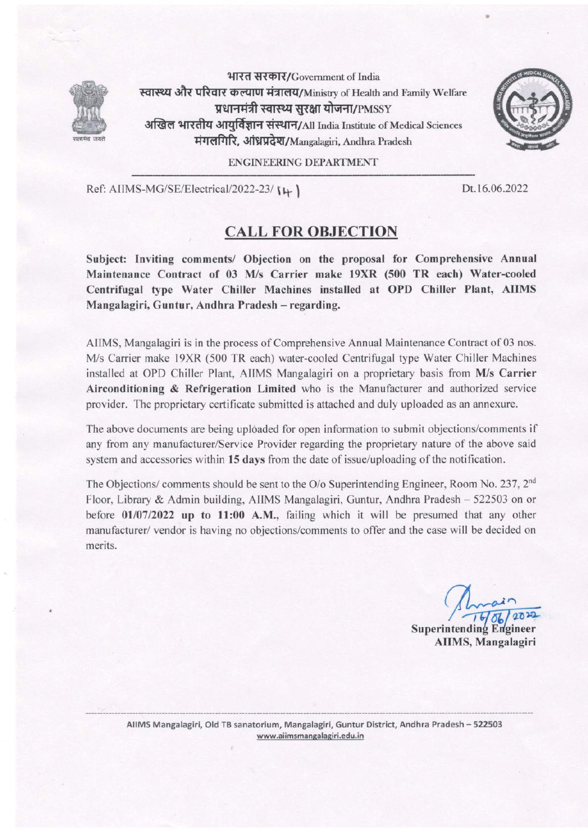

भारत सरकार/Government of India स्वास्थ्य और परिवार कल्याण मंत्रालय/Ministry of Health and Family Welfare प्रधानमंत्री स्वास्थ्य सरक्षा योजना/ $\rm p_{MSSY}$ अखिल भारतीय आयुर्विज्ञान संस्थान/All India Institute of Medical Sciences मंगलगिरि, आंध्रप्रदेश/Mangalagiri, Andhra Pradesh



## ENGINEERING DEPARTMENT

Ref: AIIMS-MG/SE/Electrical/2022-23/ I+ ]

,

## Dt.l6.06.2022

## CALL FOR OBJECTION

Subject: Inviting comments/ Objection on the proposal for Comprehensive Annual Maintenance Contract of 03 M/s Carrier make 19XR (500 TR each) Water-cooled Centrifugal type Water Chiller Machines installed at OPD Chiller Plant, AIIMS Mangalagiri, Guntur, Andhra Pradesh - regarding.

AIIMS, Mangalagiri is in the process of Comprehensive Annual Maintenance Contract of 03 nos. M/s Carrier make l9XR (500 TR each) water-cooled Centrifugal type Water Chiller Machines installed at OPD Chiller Plant, AIIMS Mangalagiri on a proprietary basis from M/s Carrier Airconditioning & Refrigeration Limited who is the Manufacturer and authorized service provider. The proprietary certificate submitted is attached and duly uploaded as an annexure.

The above documents are being uploaded for open information to submit objections/comments if any from any manufacturer/Service Provider regarding the proprietary nature of the above said system and accessories within 15 days from the date of issue/uploading of the notification.

The Objections/ comments should be sent to the O/o Superintending Engineer, Room No. 237, 2<sup>nd</sup> Floor, Library & Admin building, AIIMS Mangalagiri, Guntur, Andhra Pradesh - 522503 on or before 01/07/2022 up to 11:00 A.M., failing which it will be presumed that any other manufacturer/ vendor is having no objections/comments to offer and the case will be decided on merits.

AIIMS, Mangalagiri  $1 - 06$ <br>1406/2022 Superintending Engineer

AIIMS Mangalagiri, Old TB sanatorium, Mangalagiri, Guntur District, Andhra Pradesh - 522503 www.aiimsmangalagiri.edu. in